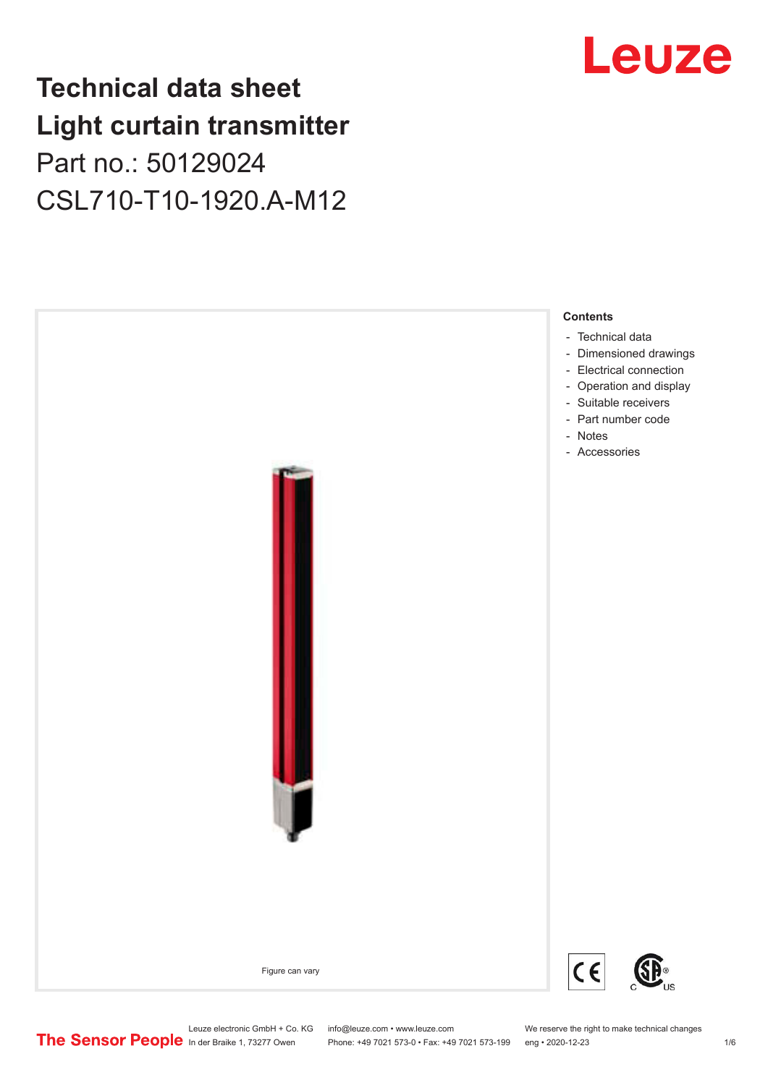## **Technical data sheet Light curtain transmitter** Part no.: 50129024 CSL710-T10-1920.A-M12



## Leuze

Leuze electronic GmbH + Co. KG info@leuze.com • www.leuze.com We reserve the right to make technical changes<br>
The Sensor People in der Braike 1, 73277 Owen Phone: +49 7021 573-0 • Fax: +49 7021 573-199 eng • 2020-12-23

Phone: +49 7021 573-0 • Fax: +49 7021 573-199 eng • 2020-12-23 1 76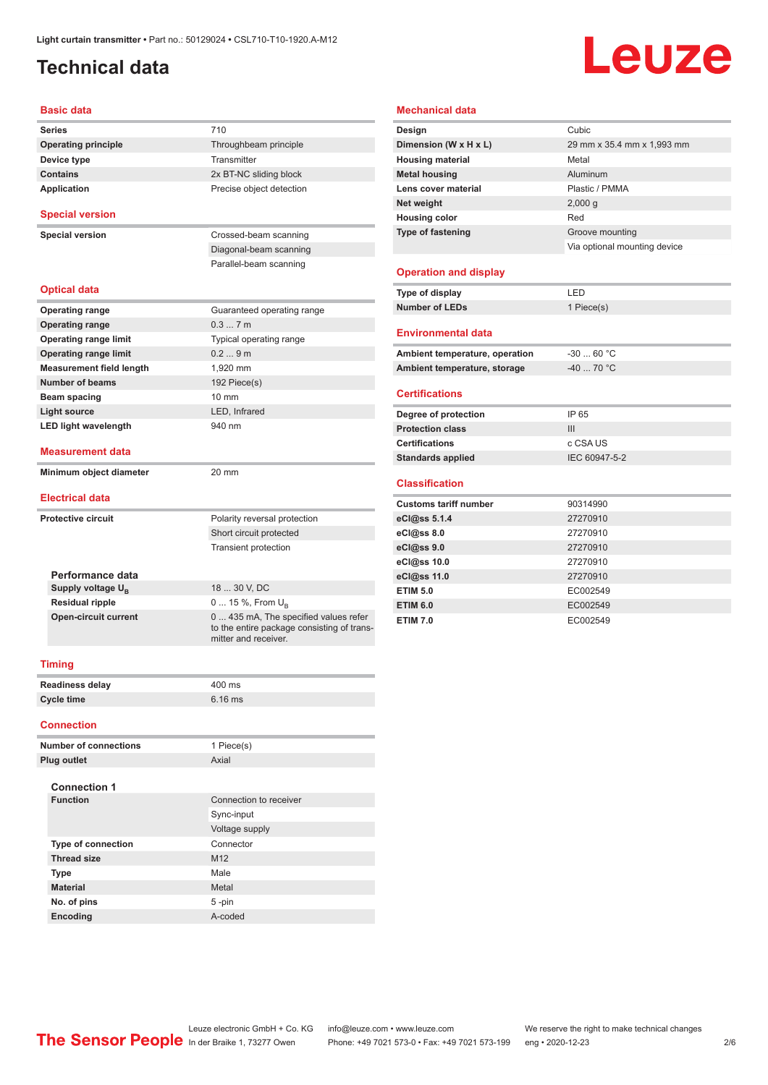## <span id="page-1-0"></span>**Technical data**

# Leuze

#### **Basic data**

| <b>Series</b>                   | 710                                                                                                         | Design                         | Cubic           |
|---------------------------------|-------------------------------------------------------------------------------------------------------------|--------------------------------|-----------------|
| <b>Operating principle</b>      | Throughbeam principle                                                                                       | Dimension (W x H x L)          | 29 mm x 35.4 r  |
| Device type                     | Transmitter                                                                                                 | <b>Housing material</b>        | Metal           |
| <b>Contains</b>                 | 2x BT-NC sliding block                                                                                      | <b>Metal housing</b>           | Aluminum        |
| Application                     | Precise object detection                                                                                    | Lens cover material            | Plastic / PMMA  |
|                                 |                                                                                                             | Net weight                     | 2,000 g         |
| <b>Special version</b>          |                                                                                                             | <b>Housing color</b>           | Red             |
| <b>Special version</b>          | Crossed-beam scanning                                                                                       | <b>Type of fastening</b>       | Groove mounti   |
|                                 | Diagonal-beam scanning                                                                                      |                                | Via optional mo |
|                                 | Parallel-beam scanning                                                                                      |                                |                 |
|                                 |                                                                                                             | <b>Operation and display</b>   |                 |
| <b>Optical data</b>             |                                                                                                             | Type of display                | LED             |
| <b>Operating range</b>          | Guaranteed operating range                                                                                  | <b>Number of LEDs</b>          | 1 Piece(s)      |
| <b>Operating range</b>          | 0.37m                                                                                                       |                                |                 |
| <b>Operating range limit</b>    | Typical operating range                                                                                     | <b>Environmental data</b>      |                 |
| <b>Operating range limit</b>    | 0.29m                                                                                                       | Ambient temperature, operation | $-3060 °C$      |
| <b>Measurement field length</b> | 1,920 mm                                                                                                    | Ambient temperature, storage   | $-4070$ °C      |
| <b>Number of beams</b>          | 192 Piece(s)                                                                                                |                                |                 |
| Beam spacing                    | $10 \text{ mm}$                                                                                             | <b>Certifications</b>          |                 |
| <b>Light source</b>             | LED, Infrared                                                                                               | Degree of protection           | IP 65           |
| <b>LED light wavelength</b>     | 940 nm                                                                                                      | <b>Protection class</b>        | III             |
|                                 |                                                                                                             | <b>Certifications</b>          | c CSA US        |
| <b>Measurement data</b>         |                                                                                                             | <b>Standards applied</b>       | IEC 60947-5-2   |
| Minimum object diameter         | 20 mm                                                                                                       |                                |                 |
|                                 |                                                                                                             | <b>Classification</b>          |                 |
| <b>Electrical data</b>          |                                                                                                             | <b>Customs tariff number</b>   | 90314990        |
| <b>Protective circuit</b>       | Polarity reversal protection                                                                                | eCl@ss 5.1.4                   | 27270910        |
|                                 | Short circuit protected                                                                                     | eCl@ss 8.0                     | 27270910        |
|                                 | Transient protection                                                                                        | eCl@ss 9.0                     | 27270910        |
|                                 |                                                                                                             | eCl@ss 10.0                    | 27270910        |
| Performance data                |                                                                                                             | eCl@ss 11.0                    | 27270910        |
| Supply voltage U <sub>B</sub>   | 18  30 V, DC                                                                                                | <b>ETIM 5.0</b>                | EC002549        |
| <b>Residual ripple</b>          | 0  15 %, From $U_{\rm B}$                                                                                   | <b>ETIM 6.0</b>                | EC002549        |
| <b>Open-circuit current</b>     | 0  435 mA, The specified values refer<br>to the entire package consisting of trans-<br>mitter and receiver. | <b>ETIM 7.0</b>                | EC002549        |
| Timing                          |                                                                                                             |                                |                 |
| Readiness delay                 | 400 ms                                                                                                      |                                |                 |
| <b>Cycle time</b>               | $6.16$ ms                                                                                                   |                                |                 |
| <b>Connection</b>               |                                                                                                             |                                |                 |
|                                 |                                                                                                             |                                |                 |

| Number of connections     | 1 Piece(s)             |
|---------------------------|------------------------|
| Plug outlet               | Axial                  |
|                           |                        |
| <b>Connection 1</b>       |                        |
| <b>Function</b>           | Connection to receiver |
|                           | Sync-input             |
|                           | Voltage supply         |
| <b>Type of connection</b> | Connector              |
| <b>Thread size</b>        | M <sub>12</sub>        |
| <b>Type</b>               | Male                   |
| <b>Material</b>           | Metal                  |
| No. of pins               | 5-pin                  |
| <b>Encoding</b>           | A-coded                |

#### **Mechanical data**

| Design                         | Cubic                        |
|--------------------------------|------------------------------|
| Dimension (W x H x L)          | 29 mm x 35.4 mm x 1,993 mm   |
| <b>Housing material</b>        | Metal                        |
| <b>Metal housing</b>           | Aluminum                     |
| Lens cover material            | Plastic / PMMA               |
| Net weight                     | 2,000q                       |
| <b>Housing color</b>           | Red                          |
| Type of fastening              | Groove mounting              |
|                                | Via optional mounting device |
| <b>Operation and display</b>   |                              |
|                                |                              |
| Type of display                | LED                          |
| <b>Number of LEDs</b>          | 1 Piece(s)                   |
| <b>Environmental data</b>      |                              |
| Ambient temperature, operation | $-3060 °C$                   |
| Ambient temperature, storage   | $-4070 °C$                   |
| <b>Certifications</b>          |                              |
| Degree of protection           | IP 65                        |
| <b>Protection class</b>        | III                          |

#### **Classification**

| <b>Customs tariff number</b> | 90314990 |
|------------------------------|----------|
| eCl@ss 5.1.4                 | 27270910 |
| eCl@ss 8.0                   | 27270910 |
| eCl@ss 9.0                   | 27270910 |
| eCl@ss 10.0                  | 27270910 |
| eCl@ss 11.0                  | 27270910 |
| <b>ETIM 5.0</b>              | EC002549 |
| <b>ETIM 6.0</b>              | EC002549 |
| <b>ETIM 7.0</b>              | EC002549 |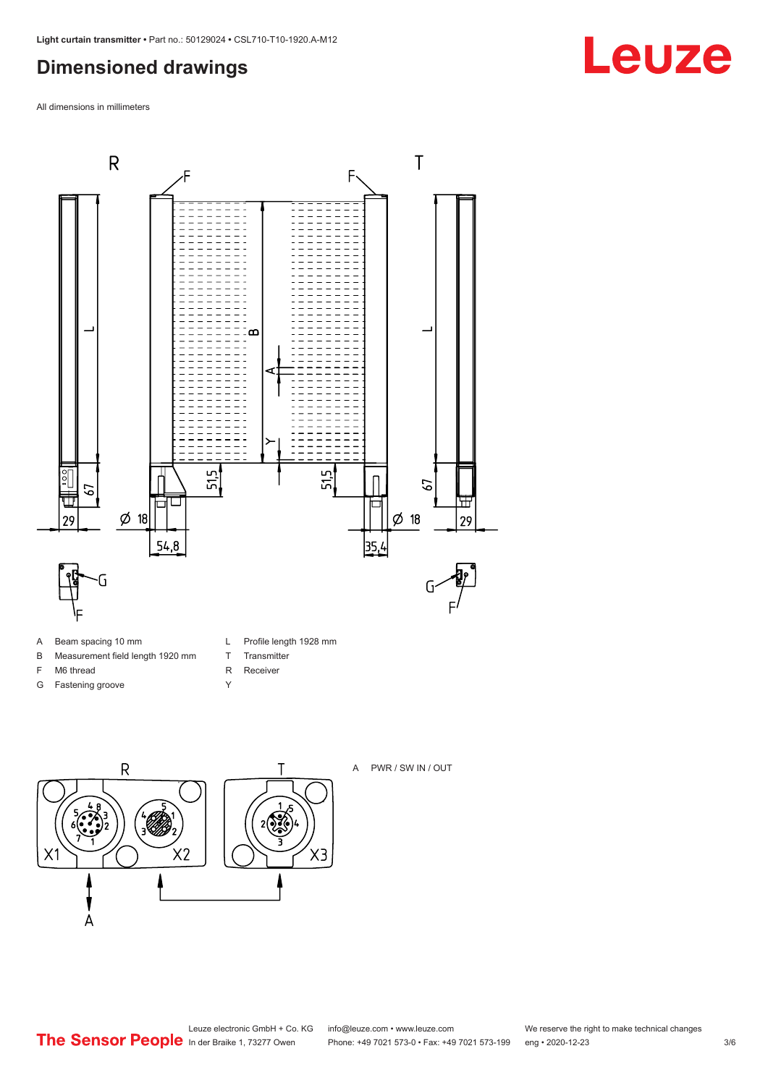## <span id="page-2-0"></span>**Dimensioned drawings**

All dimensions in millimeters



- A Beam spacing 10 mm
- B Measurement field length 1920 mm
- F M6 thread
- G Fastening groove
- L Profile length 1928 mm
- T Transmitter
- R Receiver
- Y





#### A PWR / SW IN / OUT

Leuze electronic GmbH + Co. KG info@leuze.com • www.leuze.com We reserve the right to make technical changes<br>
The Sensor People in der Braike 1, 73277 Owen Phone: +49 7021 573-0 • Fax: +49 7021 573-199 eng • 2020-12-23

Phone: +49 7021 573-0 • Fax: +49 7021 573-199 eng • 2020-12-23 3/6

## **Leuze**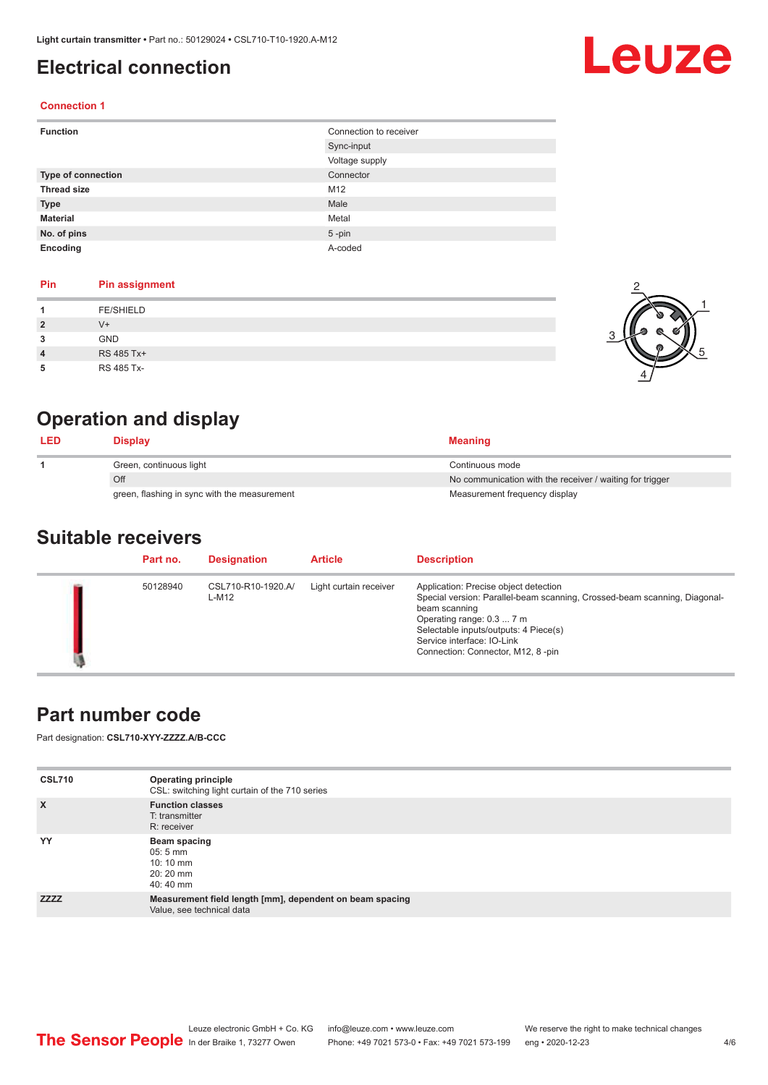## <span id="page-3-0"></span>**Electrical connection**

# Leuze

2

1

5

#### **Connection 1**

| <b>Function</b>           | Connection to receiver |
|---------------------------|------------------------|
|                           | Sync-input             |
|                           | Voltage supply         |
| <b>Type of connection</b> | Connector              |
| <b>Thread size</b>        | M12                    |
| <b>Type</b>               | Male                   |
| <b>Material</b>           | Metal                  |
| No. of pins               | $5$ -pin               |
| Encoding                  | A-coded                |

#### **Pin Pin assignment**

|   | <b>FE/SHIELD</b> |  |
|---|------------------|--|
| 2 | $V^+$            |  |
| 3 | <b>GND</b>       |  |
| 4 | RS 485 Tx+       |  |
| 5 | RS 485 Tx-       |  |

## **Operation and display**

| <b>LED</b> | Display                                      | <b>Meaning</b>                                           |
|------------|----------------------------------------------|----------------------------------------------------------|
|            | Green, continuous light                      | Continuous mode                                          |
|            | Off                                          | No communication with the receiver / waiting for trigger |
|            | green, flashing in sync with the measurement | Measurement frequency display                            |

### **Suitable receivers**

| Part no. | <b>Designation</b>          | <b>Article</b>         | <b>Description</b>                                                                                                                                                                                                                                                           |
|----------|-----------------------------|------------------------|------------------------------------------------------------------------------------------------------------------------------------------------------------------------------------------------------------------------------------------------------------------------------|
| 50128940 | CSL710-R10-1920.A/<br>L-M12 | Light curtain receiver | Application: Precise object detection<br>Special version: Parallel-beam scanning, Crossed-beam scanning, Diagonal-<br>beam scanning<br>Operating range: 0.3  7 m<br>Selectable inputs/outputs: 4 Piece(s)<br>Service interface: IO-Link<br>Connection: Connector, M12, 8-pin |

## **Part number code**

Part designation: **CSL710-XYY-ZZZZ.A/B-CCC**

| <b>CSL710</b> | <b>Operating principle</b><br>CSL: switching light curtain of the 710 series          |
|---------------|---------------------------------------------------------------------------------------|
| $\mathsf{x}$  | <b>Function classes</b><br>T: transmitter<br>R: receiver                              |
| YY            | Beam spacing<br>$05:5 \, \text{mm}$<br>$10:10 \, \text{mm}$<br>$20:20$ mm<br>40:40 mm |
| <b>ZZZZ</b>   | Measurement field length [mm], dependent on beam spacing<br>Value, see technical data |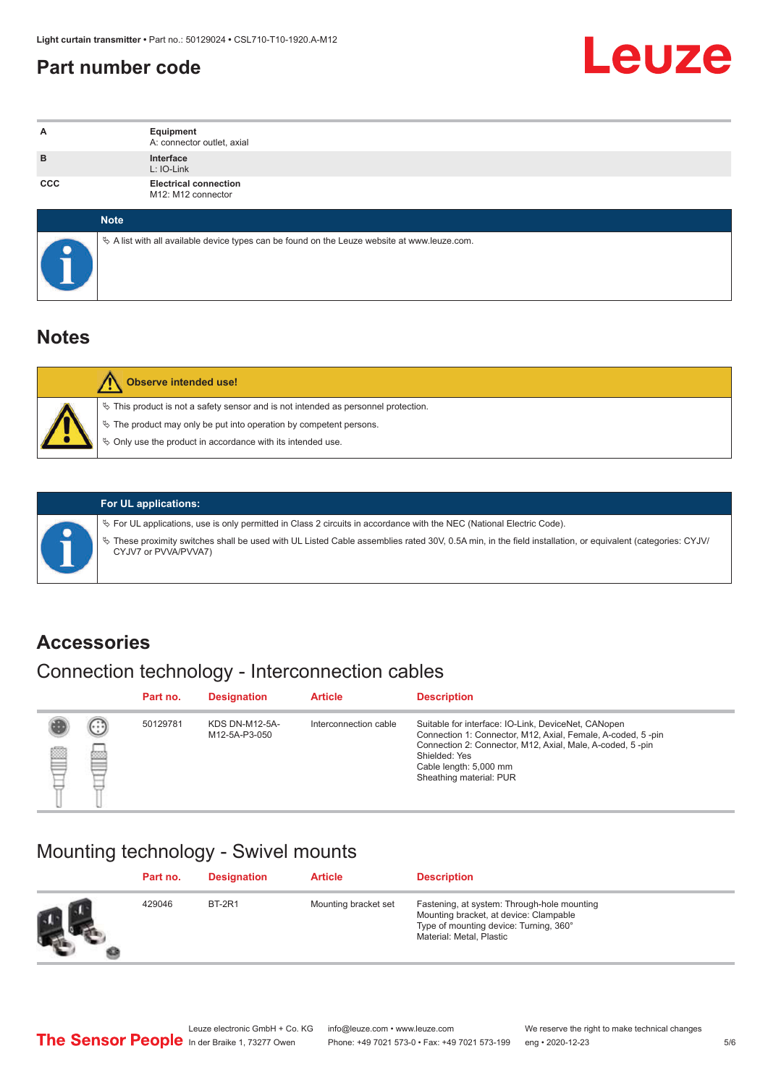## <span id="page-4-0"></span>**Part number code**



| Α          | Equipment<br>A: connector outlet, axial                                                         |
|------------|-------------------------------------------------------------------------------------------------|
| B          | Interface<br>L: IO-Link                                                                         |
| <b>CCC</b> | <b>Electrical connection</b><br>M12: M12 connector                                              |
|            | <b>Note</b>                                                                                     |
|            | $\&$ A list with all available device types can be found on the Leuze website at www.leuze.com. |

## **Notes**

| Observe intended use!                                                                                                                                                                                                         |
|-------------------------------------------------------------------------------------------------------------------------------------------------------------------------------------------------------------------------------|
| $\%$ This product is not a safety sensor and is not intended as personnel protection.<br>§ The product may only be put into operation by competent persons.<br>$\%$ Only use the product in accordance with its intended use. |

|  | $\%$ For UL applications, use is only permitted in Class 2 circuits in accordance with the NEC (National Electric Code).                                                          |
|--|-----------------------------------------------------------------------------------------------------------------------------------------------------------------------------------|
|  | V These proximity switches shall be used with UL Listed Cable assemblies rated 30V, 0.5A min, in the field installation, or equivalent (categories: CYJV/<br>CYJV7 or PVVA/PVVA7) |

**For UL applications:**

## **Accessories**

## Connection technology - Interconnection cables

|   |                           | Part no. | <b>Designation</b>                     | <b>Article</b>        | <b>Description</b>                                                                                                                                                                                                                                    |
|---|---------------------------|----------|----------------------------------------|-----------------------|-------------------------------------------------------------------------------------------------------------------------------------------------------------------------------------------------------------------------------------------------------|
| ▩ | $\left(\cdot\right)$<br>▩ | 50129781 | <b>KDS DN-M12-5A-</b><br>M12-5A-P3-050 | Interconnection cable | Suitable for interface: IO-Link, DeviceNet, CANopen<br>Connection 1: Connector, M12, Axial, Female, A-coded, 5-pin<br>Connection 2: Connector, M12, Axial, Male, A-coded, 5-pin<br>Shielded: Yes<br>Cable length: 5,000 mm<br>Sheathing material: PUR |

## Mounting technology - Swivel mounts

|      | Part no. | <b>Designation</b> | <b>Article</b>       | <b>Description</b>                                                                                                                                          |
|------|----------|--------------------|----------------------|-------------------------------------------------------------------------------------------------------------------------------------------------------------|
| ra f | 429046   | <b>BT-2R1</b>      | Mounting bracket set | Fastening, at system: Through-hole mounting<br>Mounting bracket, at device: Clampable<br>Type of mounting device: Turning, 360°<br>Material: Metal, Plastic |